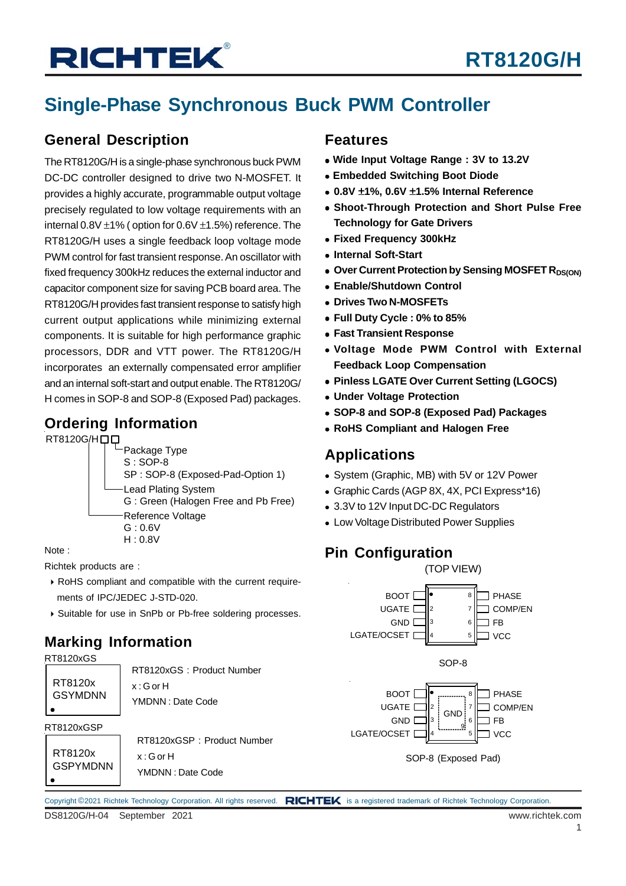# **RICHTEK®**

## **Single-Phase Synchronous Buck PWM Controller**

### **General Description**

The RT8120G/H is a single-phase synchronous buck PWM DC-DC controller designed to drive two N-MOSFET. It provides a highly accurate, programmable output voltage precisely regulated to low voltage requirements with an internal  $0.8V \pm 1\%$  ( option for  $0.6V \pm 1.5\%$ ) reference. The RT8120G/H uses a single feedback loop voltage mode PWM control for fast transient response. An oscillator with fixed frequency 300kHz reduces the external inductor and capacitor component size for saving PCB board area. The RT8120G/H provides fast transient response to satisfy high current output applications while minimizing external components. It is suitable for high performance graphic processors, DDR and VTT power. The RT8120G/H incorporates an externally compensated error amplifier and an internal soft-start and output enable. The RT8120G/ H comes in SOP-8 and SOP-8 (Exposed Pad) packages.

### **Ordering Information**

RT8120G/H口口



Note :

Richtek products are :

- RoHS compliant and compatible with the current require ments of IPC/JEDEC J-STD-020.
- Suitable for use in SnPb or Pb-free soldering processes.

## **Marking Information**



#### Copyright ©2021 Richtek Technology Corporation. All rights reserved. RICHTEK is a registered trademark of Richtek Technology Corporation.

### **Features**

- **Wide Input Voltage Range : 3V to 13.2V**
- **Embedded Switching Boot Diode**
- **0.8V** ±**1%, 0.6V** ±**1.5% Internal Reference**
- **Shoot-Through Protection and Short Pulse Free Technology for Gate Drivers**
- **Fixed Frequency 300kHz**
- **Internal Soft-Start**
- **Over Current Protection by Sensing MOSFET RDS(ON)**
- **Enable/Shutdown Control**
- **Drives Two N-MOSFETs**
- **Full Duty Cycle : 0% to 85%**
- **Fast Transient Response**
- **Voltage Mode PWM Control with External Feedback Loop Compensation**
- **Pinless LGATE Over Current Setting (LGOCS)**
- **Under Voltage Protection**
- **SOP-8 and SOP-8 (Exposed Pad) Packages**
- **RoHS Compliant and Halogen Free**

### **Applications**

- System (Graphic, MB) with 5V or 12V Power
- Graphic Cards (AGP 8X, 4X, PCI Express\*16)

2 3

- 3.3V to 12V Input DC-DC Regulators
- Low Voltage Distributed Power Supplies

### **Pin Configuration**

BOOT [ UGATE **D GND** D



(TOP VIEW)

**PHASE** OMP/EN

FB

6 7 8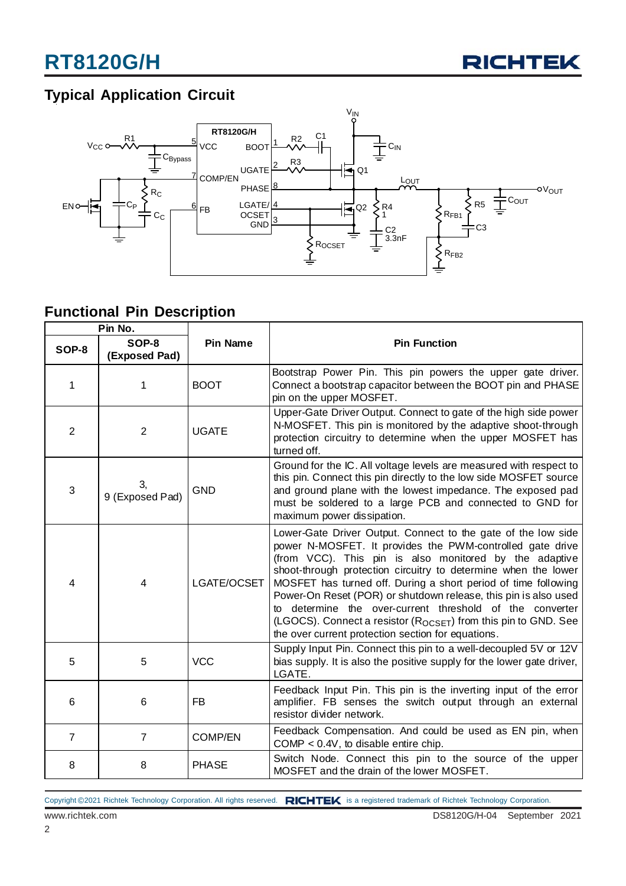

## **Typical Application Circuit**



### **Functional Pin Description**

| Pin No.        |                        |                 |                                                                                                                                                                                                                                                                                                                                                                                                                                                                                                                                                                                              |  |  |
|----------------|------------------------|-----------------|----------------------------------------------------------------------------------------------------------------------------------------------------------------------------------------------------------------------------------------------------------------------------------------------------------------------------------------------------------------------------------------------------------------------------------------------------------------------------------------------------------------------------------------------------------------------------------------------|--|--|
| SOP-8          | SOP-8<br>(Exposed Pad) | <b>Pin Name</b> | <b>Pin Function</b>                                                                                                                                                                                                                                                                                                                                                                                                                                                                                                                                                                          |  |  |
| 1              | 1                      | <b>BOOT</b>     | Bootstrap Power Pin. This pin powers the upper gate driver.<br>Connect a bootstrap capacitor between the BOOT pin and PHASE<br>pin on the upper MOSFET.                                                                                                                                                                                                                                                                                                                                                                                                                                      |  |  |
| $\overline{2}$ | $\overline{2}$         | <b>UGATE</b>    | Upper-Gate Driver Output. Connect to gate of the high side power<br>N-MOSFET. This pin is monitored by the adaptive shoot-through<br>protection circuitry to determine when the upper MOSFET has<br>turned off.                                                                                                                                                                                                                                                                                                                                                                              |  |  |
| 3              | З,<br>9 (Exposed Pad)  | <b>GND</b>      | Ground for the IC. All voltage levels are measured with respect to<br>this pin. Connect this pin directly to the low side MOSFET source<br>and ground plane with the lowest impedance. The exposed pad<br>must be soldered to a large PCB and connected to GND for<br>maximum power dissipation.                                                                                                                                                                                                                                                                                             |  |  |
| 4              | 4                      | LGATE/OCSET     | Lower-Gate Driver Output. Connect to the gate of the low side<br>power N-MOSFET. It provides the PWM-controlled gate drive<br>(from VCC). This pin is also monitored by the adaptive<br>shoot-through protection circuitry to determine when the lower<br>MOSFET has turned off. During a short period of time following<br>Power-On Reset (POR) or shutdown release, this pin is also used<br>to determine the over-current threshold of the converter<br>(LGOCS). Connect a resistor (R <sub>OCSET</sub> ) from this pin to GND. See<br>the over current protection section for equations. |  |  |
| 5              | 5                      | <b>VCC</b>      | Supply Input Pin. Connect this pin to a well-decoupled 5V or 12V<br>bias supply. It is also the positive supply for the lower gate driver,<br>LGATE.                                                                                                                                                                                                                                                                                                                                                                                                                                         |  |  |
| 6              | 6                      | FB              | Feedback Input Pin. This pin is the inverting input of the error<br>amplifier. FB senses the switch output through an external<br>resistor divider network.                                                                                                                                                                                                                                                                                                                                                                                                                                  |  |  |
| $\overline{7}$ | $\overline{7}$         | <b>COMP/EN</b>  | Feedback Compensation. And could be used as EN pin, when<br>COMP $< 0.4V$ , to disable entire chip.                                                                                                                                                                                                                                                                                                                                                                                                                                                                                          |  |  |
| 8              | 8                      | <b>PHASE</b>    | Switch Node. Connect this pin to the source of the upper<br>MOSFET and the drain of the lower MOSFET.                                                                                                                                                                                                                                                                                                                                                                                                                                                                                        |  |  |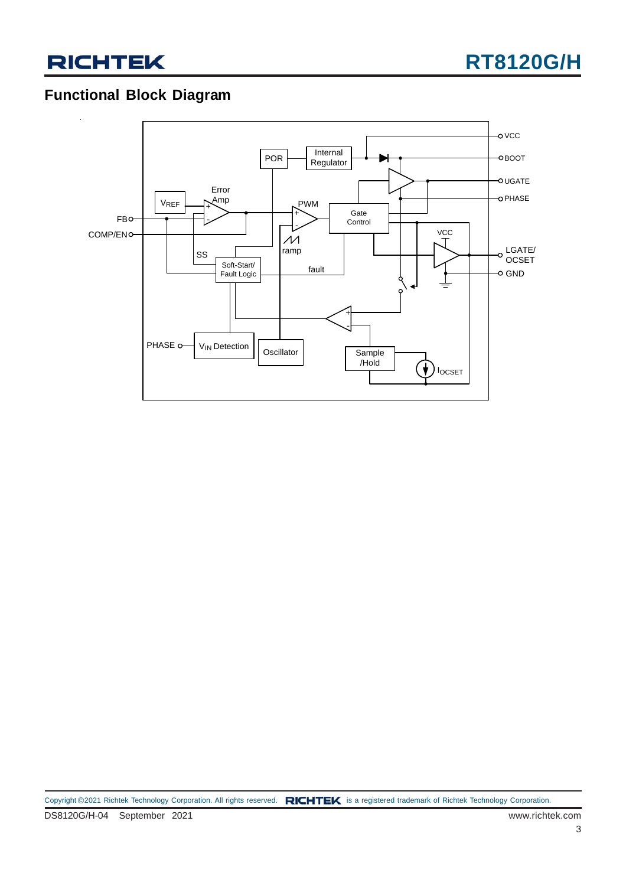

### **Functional Block Diagram**

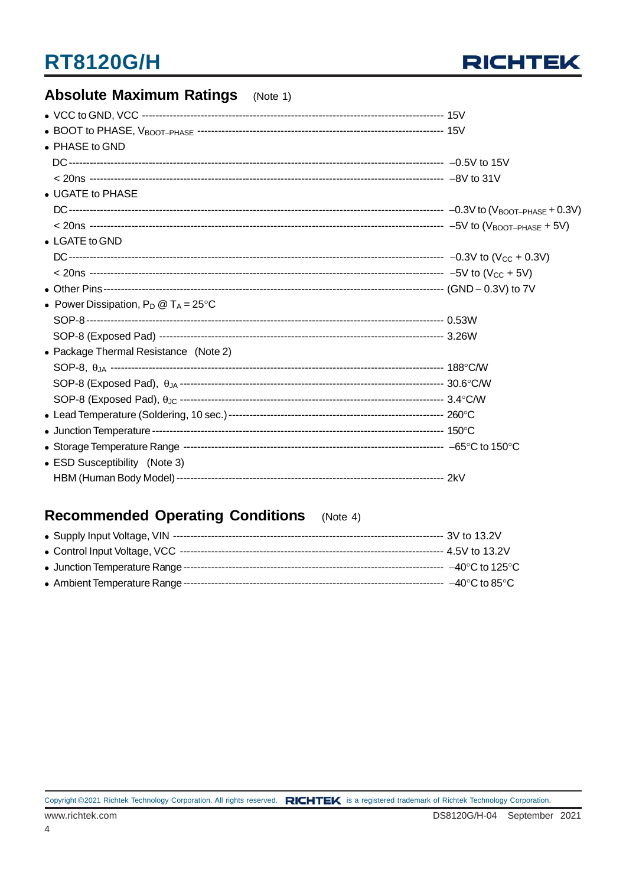

| <b>Absolute Maximum Ratings</b><br>(Note 1)    |  |
|------------------------------------------------|--|
|                                                |  |
|                                                |  |
| • PHASE to GND                                 |  |
|                                                |  |
|                                                |  |
| • UGATE to PHASE                               |  |
|                                                |  |
|                                                |  |
| • LGATE to GND                                 |  |
|                                                |  |
|                                                |  |
|                                                |  |
| • Power Dissipation, $P_D @ T_A = 25^{\circ}C$ |  |
|                                                |  |
|                                                |  |
| • Package Thermal Resistance (Note 2)          |  |
|                                                |  |
|                                                |  |
|                                                |  |
|                                                |  |
|                                                |  |
|                                                |  |
| • ESD Susceptibility (Note 3)                  |  |
|                                                |  |

#### **Recommended Operating Conditions**  $(Note 4)$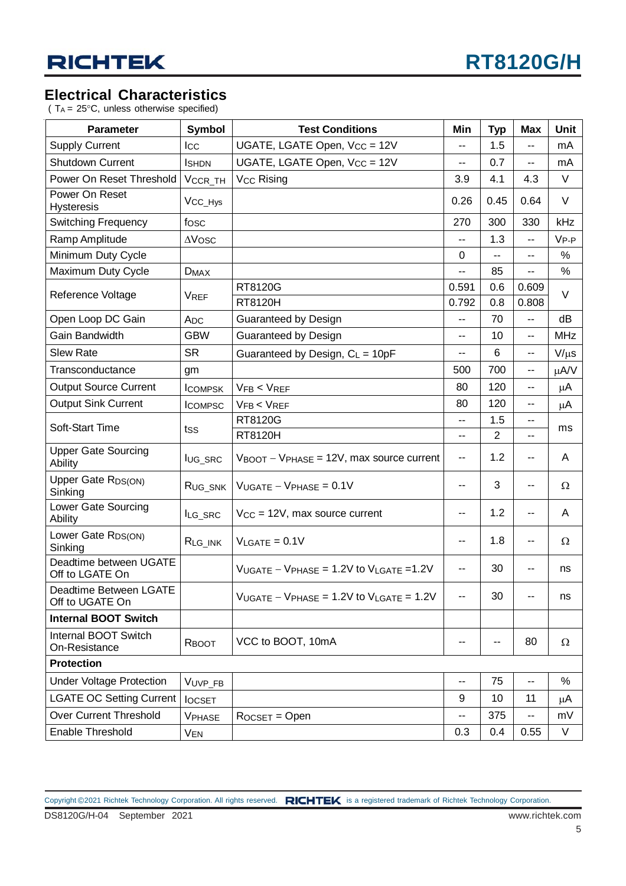### **Electrical Characteristics**

( $T_A = 25^{\circ}$ C, unless otherwise specified)

| <b>Parameter</b>                             | Symbol              | <b>Test Conditions</b>                                          | Min            | <b>Typ</b> | <b>Max</b>     | <b>Unit</b> |
|----------------------------------------------|---------------------|-----------------------------------------------------------------|----------------|------------|----------------|-------------|
| <b>Supply Current</b>                        | Icc                 | UGATE, LGATE Open, V <sub>CC</sub> = 12V                        | --             | 1.5        | --             | mA          |
| <b>Shutdown Current</b>                      | <b>I</b> SHDN       | UGATE, LGATE Open, V <sub>CC</sub> = 12V                        | --             | 0.7        | --             | mA          |
| Power On Reset Threshold                     | VCCR_TH             | V <sub>CC</sub> Rising                                          | 3.9            | 4.1        | 4.3            | $\vee$      |
| Power On Reset<br><b>Hysteresis</b>          | V <sub>CC_Hys</sub> |                                                                 | 0.26           | 0.45       | 0.64           | V           |
| <b>Switching Frequency</b>                   | fosc                |                                                                 | 270            | 300        | 330            | kHz         |
| Ramp Amplitude                               | $\Delta$ Vosc       |                                                                 |                | 1.3        | --             | $V_{P-P}$   |
| Minimum Duty Cycle                           |                     |                                                                 | 0              |            | --             | %           |
| Maximum Duty Cycle                           | $D_{MAX}$           |                                                                 | --             | 85         | --             | %           |
| Reference Voltage                            | <b>VREF</b>         | RT8120G<br>RT8120H                                              | 0.591<br>0.792 | 0.6<br>0.8 | 0.609<br>0.808 | V           |
| Open Loop DC Gain                            | A <sub>DC</sub>     | Guaranteed by Design                                            | --             | 70         | --             | dB          |
| Gain Bandwidth                               | <b>GBW</b>          | Guaranteed by Design                                            | --             | 10         | --             | <b>MHz</b>  |
| <b>Slew Rate</b>                             | <b>SR</b>           | Guaranteed by Design, $C_L = 10pF$                              | --             | 6          | --             | $V/\mu s$   |
| Transconductance                             | gm                  |                                                                 | 500            | 700        | --             | $\mu$ A/V   |
| <b>Output Source Current</b>                 | <b>ICOMPSK</b>      | VFB < VREF                                                      | 80             | 120        | --             | μA          |
| <b>Output Sink Current</b>                   | <b>ICOMPSC</b>      | VFB < VREF                                                      | 80             | 120        | --             | μA          |
|                                              |                     | RT8120G                                                         | --             | 1.5        | --             |             |
| Soft-Start Time                              | tss                 | RT8120H                                                         | --             | 2          | --             | ms          |
| <b>Upper Gate Sourcing</b><br>Ability        | lug_src             | $V_{\text{BOOT}} - V_{\text{PHASE}} = 12V$ , max source current | н.             | 1.2        | --             | A           |
| Upper Gate R <sub>DS(ON)</sub><br>Sinking    | R <sub>UG_SNK</sub> | $V_{UGATE} - V_{PHASE} = 0.1V$                                  |                | 3          | --             | Ω           |
| Lower Gate Sourcing<br>Ability               | ILG_SRC             | $V_{CC}$ = 12V, max source current                              | --             | 1.2        | --             | A           |
| Lower Gate RDS(ON)<br>Sinking                | $R_{LG\_INK}$       | $V_{\text{LGATE}} = 0.1V$                                       | --             | 1.8        | --             | Ω           |
| Deadtime between UGATE<br>Off to LGATE On    |                     | $V_{UGATE} - V_{PHASE} = 1.2V$ to $V_{LGATE} = 1.2V$            | --             | 30         | --             | ns          |
| Deadtime Between LGATE<br>Off to UGATE On    |                     | $V_{UGATE} - V_{PHASE} = 1.2V$ to $V_{LGATE} = 1.2V$            | --             | 30         | --             | ns          |
| <b>Internal BOOT Switch</b>                  |                     |                                                                 |                |            |                |             |
| <b>Internal BOOT Switch</b><br>On-Resistance | RBOOT               | VCC to BOOT, 10mA                                               | $-$            |            | 80             | $\Omega$    |
| <b>Protection</b>                            |                     |                                                                 |                |            |                |             |
| <b>Under Voltage Protection</b>              | VUVP_FB             |                                                                 | --             | 75         | --             | %           |
| LGATE OC Setting Current                     | <b>locset</b>       |                                                                 | 9              | 10         | 11             | μA          |
| <b>Over Current Threshold</b>                | <b>VPHASE</b>       | $R$ <sub>OCSET</sub> = Open                                     | --             | 375        | --             | mV          |
| Enable Threshold                             | VEN                 |                                                                 | 0.3            | 0.4        | 0.55           | V           |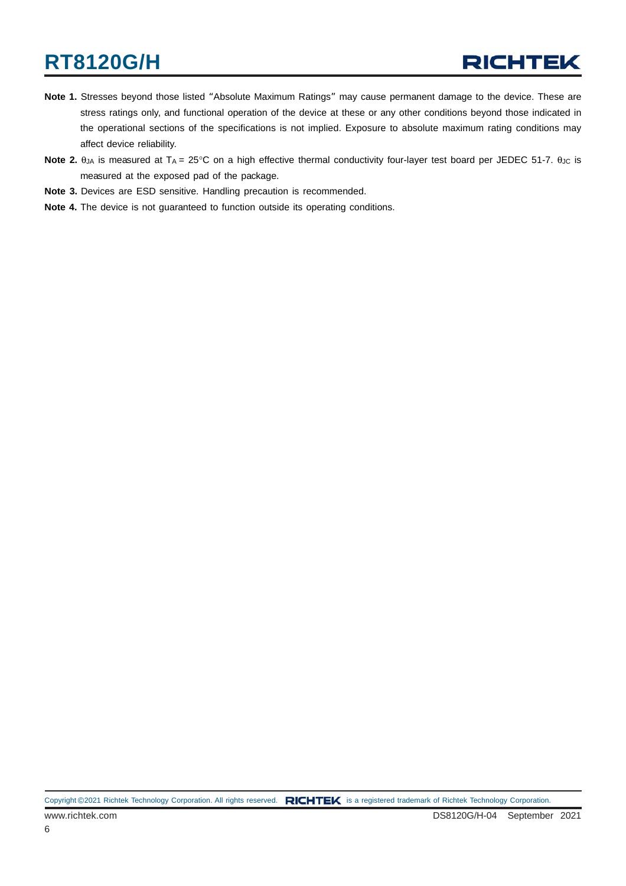- **Note 1.** Stresses beyond those listed "Absolute Maximum Ratings" may cause permanent damage to the device. These are stress ratings only, and functional operation of the device at these or any other conditions beyond those indicated in the operational sections of the specifications is not implied. Exposure to absolute maximum rating conditions may affect device reliability.
- **Note 2.** θ<sub>JA</sub> is measured at T<sub>A</sub> = 25°C on a high effective thermal conductivity four-layer test board per JEDEC 51-7. θ<sub>JC</sub> is measured at the exposed pad of the package.
- **Note 3.** Devices are ESD sensitive. Handling precaution is recommended.
- **Note 4.** The device is not guaranteed to function outside its operating conditions.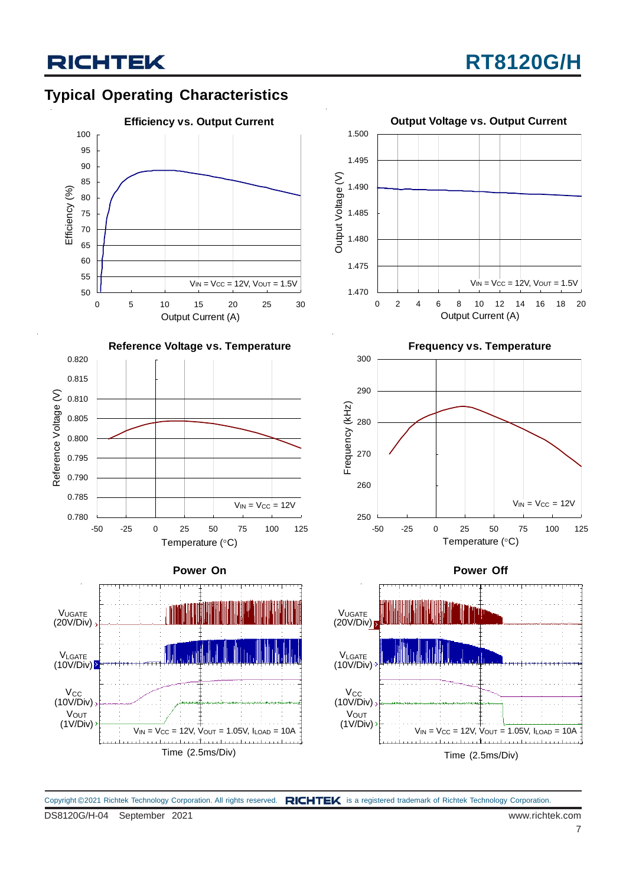## **RICHTEK**

### **Typical Operating Characteristics**





**Power On**









**Power Off**



DS8120G/H-04 September 2021 www.richtek.com Copyright ©2021 Richtek Technology Corporation. All rights reserved. RICHTEK is a registered trademark of Richtek Technology Corporation.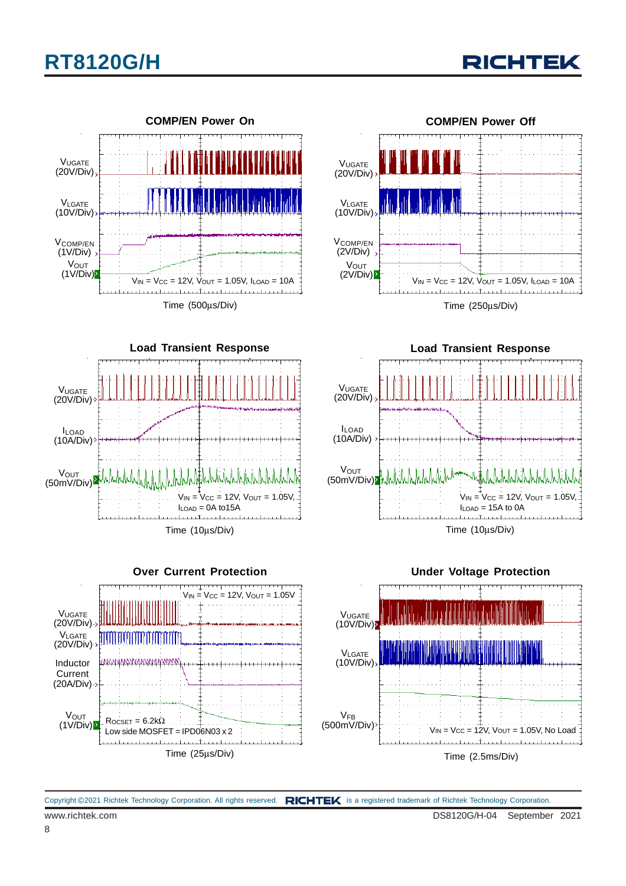









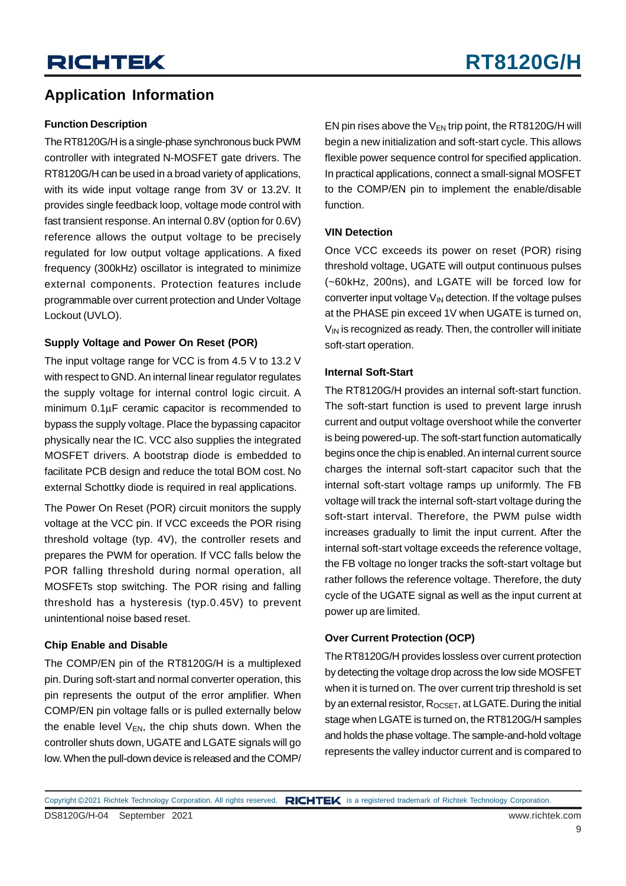### **Application Information**

#### **Function Description**

The RT8120G/H is a single-phase synchronous buck PWM controller with integrated N-MOSFET gate drivers. The RT8120G/H can be used in a broad variety of applications, with its wide input voltage range from 3V or 13.2V. It provides single feedback loop, voltage mode control with fast transient response. An internal 0.8V (option for 0.6V) reference allows the output voltage to be precisely regulated for low output voltage applications. A fixed frequency (300kHz) oscillator is integrated to minimize external components. Protection features include programmable over current protection and Under Voltage Lockout (UVLO).

#### **Supply Voltage and Power On Reset (POR)**

The input voltage range for VCC is from 4.5 V to 13.2 V with respect to GND. An internal linear regulator regulates the supply voltage for internal control logic circuit. A minimum 0.1μF ceramic capacitor is recommended to bypass the supply voltage. Place the bypassing capacitor physically near the IC. VCC also supplies the integrated MOSFET drivers. A bootstrap diode is embedded to facilitate PCB design and reduce the total BOM cost. No external Schottky diode is required in real applications.

The Power On Reset (POR) circuit monitors the supply voltage at the VCC pin. If VCC exceeds the POR rising threshold voltage (typ. 4V), the controller resets and prepares the PWM for operation. If VCC falls below the POR falling threshold during normal operation, all MOSFETs stop switching. The POR rising and falling threshold has a hysteresis (typ.0.45V) to prevent unintentional noise based reset.

#### **Chip Enable and Disable**

The COMP/EN pin of the RT8120G/H is a multiplexed pin. During soft-start and normal converter operation, this pin represents the output of the error amplifier. When COMP/EN pin voltage falls or is pulled externally below the enable level  $V_{EN}$ , the chip shuts down. When the controller shuts down, UGATE and LGATE signals will go low. When the pull-down device is released and the COMP/ EN pin rises above the  $V_{EN}$  trip point, the RT8120G/H will begin a new initialization and soft-start cycle. This allows flexible power sequence control for specified application. In practical applications, connect a small-signal MOSFET to the COMP/EN pin to implement the enable/disable function.

#### **VIN Detection**

Once VCC exceeds its power on reset (POR) rising threshold voltage, UGATE will output continuous pulses (~60kHz, 200ns), and LGATE will be forced low for converter input voltage  $V_{IN}$  detection. If the voltage pulses at the PHASE pin exceed 1V when UGATE is turned on,  $V_{\text{IN}}$  is recognized as ready. Then, the controller will initiate soft-start operation.

#### **Internal Soft-Start**

The RT8120G/H provides an internal soft-start function. The soft-start function is used to prevent large inrush current and output voltage overshoot while the converter is being powered-up. The soft-start function automatically begins once the chip is enabled. An internal current source charges the internal soft-start capacitor such that the internal soft-start voltage ramps up uniformly. The FB voltage will track the internal soft-start voltage during the soft-start interval. Therefore, the PWM pulse width increases gradually to limit the input current. After the internal soft-start voltage exceeds the reference voltage, the FB voltage no longer tracks the soft-start voltage but rather follows the reference voltage. Therefore, the duty cycle of the UGATE signal as well as the input current at power up are limited.

#### **Over Current Protection (OCP)**

The RT8120G/H provides lossless over current protection by detecting the voltage drop across the low side MOSFET when it is turned on. The over current trip threshold is set by an external resistor,  $R_{OCSET}$ , at LGATE. During the initial stage when LGATE is turned on, the RT8120G/H samples and holds the phase voltage. The sample-and-hold voltage represents the valley inductor current and is compared to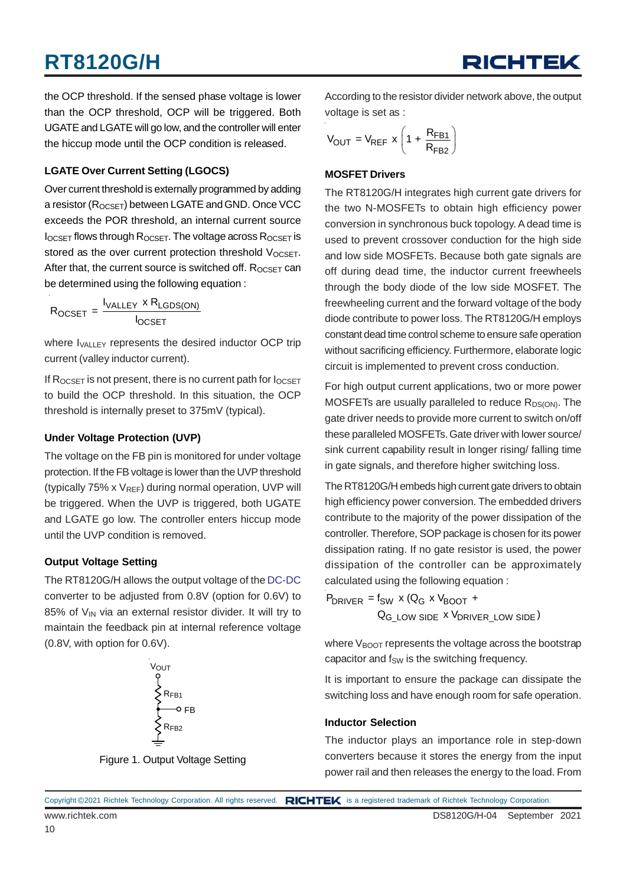the OCP threshold. If the sensed phase voltage is lower than the OCP threshold, OCP will be triggered. Both UGATE and LGATE will go low, and the controller will enter the hiccup mode until the OCP condition is released.

#### **LGATE Over Current Setting (LGOCS)**

Over current threshold is externally programmed by adding a resistor (R<sub>OCSET</sub>) between LGATE and GND. Once VCC exceeds the POR threshold, an internal current source  $I_{OCSET}$  flows through  $R_{OCSET}$ . The voltage across  $R_{OCSET}$  is stored as the over current protection threshold  $V_{OCSET}$ . After that, the current source is switched off.  $R_{OCSET}$  can be determined using the following equation :

$$
R_{OCSET} = \frac{I_{VALLEY} \times R_{LGDS(ON)}}{I_{OCSET}}
$$

where  $I_{\text{VALLEY}}$  represents the desired inductor OCP trip current (valley inductor current).

If  $R_{OCSET}$  is not present, there is no current path for  $I_{OCSET}$ to build the OCP threshold. In this situation, the OCP threshold is internally preset to 375mV (typical).

#### **Under Voltage Protection (UVP)**

The voltage on the FB pin is monitored for under voltage protection. If the FB voltage is lower than the UVP threshold (typically 75% x  $V_{REF}$ ) during normal operation, UVP will be triggered. When the UVP is triggered, both UGATE and LGATE go low. The controller enters hiccup mode until the UVP condition is removed.

#### **Output Voltage Setting**

The RT8120G/H allows the output voltage of the DC-DC converter to be adjusted from 0.8V (option for 0.6V) to 85% of  $V_{IN}$  via an external resistor divider. It will try to maintain the feedback pin at internal reference voltage (0.8V, with option for 0.6V).



Figure 1. Output Voltage Setting

According to the resistor divider network above, the output voltage is set as :

$$
V_{OUT} = V_{REF} \times \left(1 + \frac{R_{FB1}}{R_{FB2}}\right)
$$

#### **MOSFET Drivers**

The RT8120G/H integrates high current gate drivers for the two N-MOSFETs to obtain high efficiency power conversion in synchronous buck topology. A dead time is used to prevent crossover conduction for the high side and low side MOSFETs. Because both gate signals are off during dead time, the inductor current freewheels through the body diode of the low side MOSFET. The freewheeling current and the forward voltage of the body diode contribute to power loss. The RT8120G/H employs constant dead time control scheme to ensure safe operation without sacrificing efficiency. Furthermore, elaborate logic circuit is implemented to prevent cross conduction.

For high output current applications, two or more power MOSFETs are usually paralleled to reduce  $R_{DS(ON)}$ . The gate driver needs to provide more current to switch on/off these paralleled MOSFETs. Gate driver with lower source/ sink current capability result in longer rising/ falling time in gate signals, and therefore higher switching loss.

The RT8120G/H embeds high current gate drivers to obtain high efficiency power conversion. The embedded drivers contribute to the majority of the power dissipation of the controller. Therefore, SOP package is chosen for its power dissipation rating. If no gate resistor is used, the power dissipation of the controller can be approximately calculated using the following equation :

 $P_{DRIVER} = f_{SW} \times (Q_G \times V_{BOOT} +$ 

 $\mathsf{Q}_{\mathsf{G\_LOW}}$  side  $\mathsf{x}$   $\mathsf{V}_{\mathsf{DRIVER\_LOW}}$  side)

where  $V_{\text{BNOT}}$  represents the voltage across the bootstrap capacitor and  $f_{SW}$  is the switching frequency.

It is important to ensure the package can dissipate the switching loss and have enough room for safe operation.

#### **Inductor Selection**

The inductor plays an importance role in step-down converters because it stores the energy from the input power rail and then releases the energy to the load. From

|                 | Copyright ©2021 Richtek Technology Corporation. All rights reserved. RICHTEK is a registered trademark of Richtek Technology Corporation. |
|-----------------|-------------------------------------------------------------------------------------------------------------------------------------------|
| www.richtek.com | DS8120G/H-04 September 2021                                                                                                               |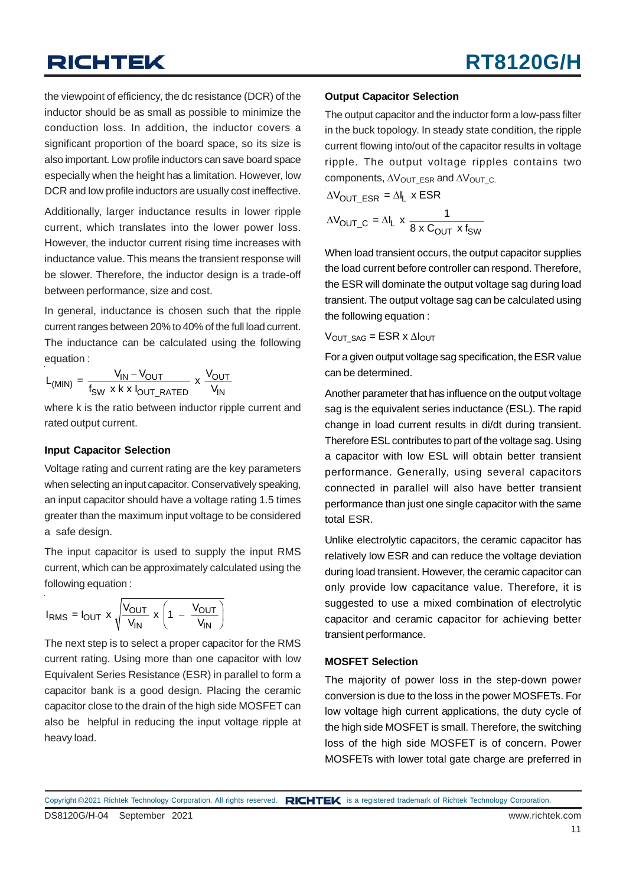## **RICHTEK**

the viewpoint of efficiency, the dc resistance (DCR) of the inductor should be as small as possible to minimize the conduction loss. In addition, the inductor covers a significant proportion of the board space, so its size is also important. Low profile inductors can save board space especially when the height has a limitation. However, low DCR and low profile inductors are usually cost ineffective.

Additionally, larger inductance results in lower ripple current, which translates into the lower power loss. However, the inductor current rising time increases with inductance value. This means the transient response will be slower. Therefore, the inductor design is a trade-off between performance, size and cost.

In general, inductance is chosen such that the ripple current ranges between 20% to 40% of the full load current. The inductance can be calculated using the following equation :

$$
L_{(MIN)} = \frac{V_{IN} - V_{OUT}}{f_{SW} \times k \times I_{OUT\_RATED}} \times \frac{V_{OUT}}{V_{IN}}
$$

where k is the ratio between inductor ripple current and rated output current.

#### **Input Capacitor Selection**

Voltage rating and current rating are the key parameters when selecting an input capacitor. Conservatively speaking, an input capacitor should have a voltage rating 1.5 times greater than the maximum input voltage to be considered a safe design.

The input capacitor is used to supply the input RMS current, which can be approximately calculated using the following equation :

$$
I_{RMS} = I_{OUT} \times \sqrt{\frac{V_{OUT}}{V_{IN}}} \times \left(1 - \frac{V_{OUT}}{V_{IN}}\right)
$$

The next step is to select a proper capacitor for the RMS current rating. Using more than one capacitor with low Equivalent Series Resistance (ESR) in parallel to form a capacitor bank is a good design. Placing the ceramic capacitor close to the drain of the high side MOSFET can also be helpful in reducing the input voltage ripple at heavy load.

#### **Output Capacitor Selection**

The output capacitor and the inductor form a low-pass filter in the buck topology. In steady state condition, the ripple current flowing into/out of the capacitor results in voltage ripple. The output voltage ripples contains two components,  $\Delta V_{\text{OUT}}$  ESR and  $\Delta V_{\text{OUT}}$  C.

$$
\Delta V_{OUT\_ESR} = \Delta I_L \times ESR
$$

$$
\Delta V_{OUT\_C} = \Delta I_L \times \frac{1}{8 \times C_{OUT} \times f_{SW}}
$$

When load transient occurs, the output capacitor supplies the load current before controller can respond. Therefore, the ESR will dominate the output voltage sag during load transient. The output voltage sag can be calculated using the following equation :

 $V_{OUT}$  sag = ESR x  $\Delta I_{OUT}$ 

For a given output voltage sag specification, the ESR value can be determined.

Another parameter that has influence on the output voltage sag is the equivalent series inductance (ESL). The rapid change in load current results in di/dt during transient. Therefore ESL contributes to part of the voltage sag. Using a capacitor with low ESL will obtain better transient performance. Generally, using several capacitors connected in parallel will also have better transient performance than just one single capacitor with the same total ESR.

Unlike electrolytic capacitors, the ceramic capacitor has relatively low ESR and can reduce the voltage deviation during load transient. However, the ceramic capacitor can only provide low capacitance value. Therefore, it is suggested to use a mixed combination of electrolytic capacitor and ceramic capacitor for achieving better transient performance.

#### **MOSFET Selection**

The majority of power loss in the step-down power conversion is due to the loss in the power MOSFETs. For low voltage high current applications, the duty cycle of the high side MOSFET is small. Therefore, the switching loss of the high side MOSFET is of concern. Power MOSFETs with lower total gate charge are preferred in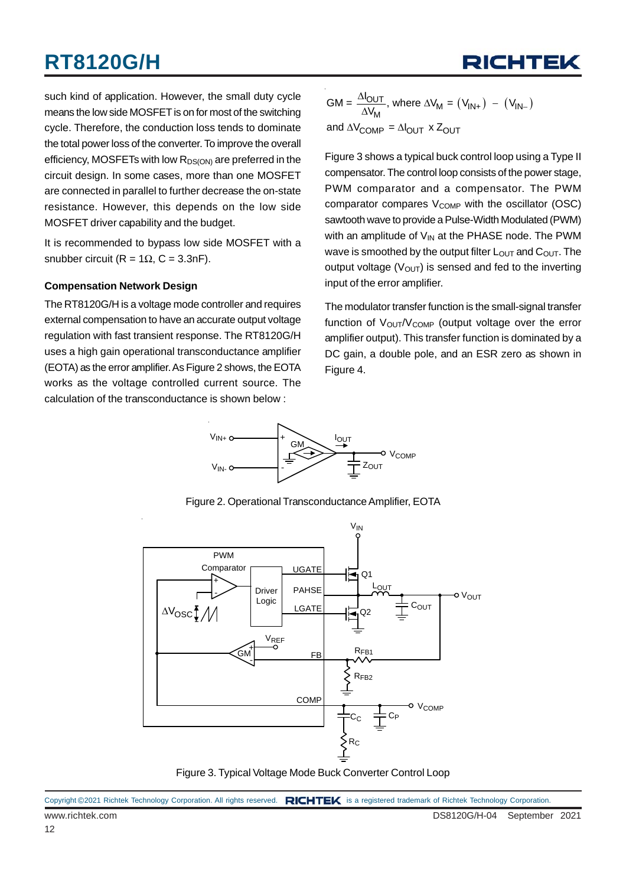such kind of application. However, the small duty cycle means the low side MOSFET is on for most of the switching cycle. Therefore, the conduction loss tends to dominate the total power loss of the converter. To improve the overall efficiency, MOSFETs with low  $R_{DS(ON)}$  are preferred in the circuit design. In some cases, more than one MOSFET are connected in parallel to further decrease the on-state resistance. However, this depends on the low side MOSFET driver capability and the budget.

It is recommended to bypass low side MOSFET with a snubber circuit (R =  $1\Omega$ , C = 3.3nF).

#### **Compensation Network Design**

The RT8120G/H is a voltage mode controller and requires external compensation to have an accurate output voltage regulation with fast transient response. The RT8120G/H uses a high gain operational transconductance amplifier (EOTA) as the error amplifier. As Figure 2 shows, the EOTA works as the voltage controlled current source. The calculation of the transconductance is shown below :

$$
GM = \frac{\Delta I_{OUT}}{\Delta V_{M}}, \text{ where } \Delta V_{M} = (V_{IN+}) - (V_{IN-})
$$
  
and  $\Delta V_{COMP} = \Delta I_{OUT} \times Z_{OUT}$ 

Figure 3 shows a typical buck control loop using a Type II compensator. The control loop consists of the power stage, PWM comparator and a compensator. The PWM comparator compares  $V_{\text{COMP}}$  with the oscillator (OSC) sawtooth wave to provide a Pulse-Width Modulated (PWM) with an amplitude of  $V_{IN}$  at the PHASE node. The PWM wave is smoothed by the output filter  $L_{\text{OUT}}$  and  $C_{\text{OUT}}$ . The output voltage ( $V_{\text{OUT}}$ ) is sensed and fed to the inverting input of the error amplifier.

The modulator transfer function is the small-signal transfer function of  $V_{\text{OUT}}/V_{\text{COMP}}$  (output voltage over the error amplifier output). This transfer function is dominated by a DC gain, a double pole, and an ESR zero as shown in Figure 4.



Figure 2. Operational Transconductance Amplifier, EOTA



Figure 3. Typical Voltage Mode Buck Converter Control Loop

| Copyright @2021 Richtek Technology Corporation. All rights reserved. RICHTEK is a registered trademark of Richtek Technology Corporation. |  |
|-------------------------------------------------------------------------------------------------------------------------------------------|--|
|                                                                                                                                           |  |

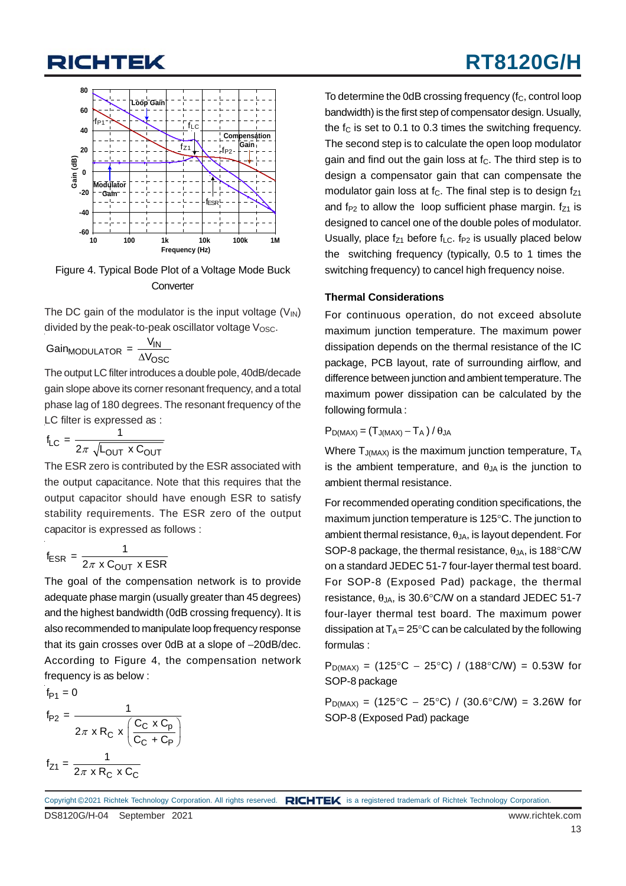## **RICHTEK**

## **RT8120G/H**



Figure 4. Typical Bode Plot of a Voltage Mode Buck **Converter** 

The DC gain of the modulator is the input voltage  $(V_{\text{IN}})$ divided by the peak-to-peak oscillator voltage  $V_{\text{OSC}}$ .

$$
Gain_{MODULATION} = \frac{V_{IN}}{\Delta V_{OSC}}
$$
  
The output L C filter introduced

The output LC filter introduces a double pole, 40dB/decade gain slope above its corner resonant frequency, and a total phase lag of 180 degrees. The resonant frequency of the LC filter is expressed as :

$$
f_{LC} = \frac{1}{2\pi \sqrt{L_{OUT} \times C_{OUT}}}
$$

The ESR zero is contributed by the ESR associated with the output capacitance. Note that this requires that the output capacitor should have enough ESR to satisfy stability requirements. The ESR zero of the output capacitor is expressed as follows :

$$
f_{ESR} = \frac{1}{2\pi \times C_{OUT} \times ESR}
$$

The goal of the compensation network is to provide adequate phase margin (usually greater than 45 degrees) and the highest bandwidth (0dB crossing frequency). It is also recommended to manipulate loop frequency response that its gain crosses over 0dB at a slope of −20dB/dec. According to Figure 4, the compensation network frequency is as below :

$$
f_{P1} = 0
$$
  
\n
$$
f_{P2} = \frac{1}{2\pi \times R_C \times \left(\frac{C_C \times C_p}{C_C + C_P}\right)}
$$
  
\n
$$
f_{Z1} = \frac{1}{2\pi \times R_C \times C_C}
$$

To determine the 0dB crossing frequency  $(f_C,$  control loop bandwidth) is the first step of compensator design. Usually, the  $f_c$  is set to 0.1 to 0.3 times the switching frequency. The second step is to calculate the open loop modulator gain and find out the gain loss at  $f<sub>C</sub>$ . The third step is to design a compensator gain that can compensate the modulator gain loss at  $f<sub>C</sub>$ . The final step is to design  $f<sub>71</sub>$ and f<sub>P2</sub> to allow the loop sufficient phase margin.  $f_{71}$  is designed to cancel one of the double poles of modulator. Usually, place  $f_{Z1}$  before  $f_{LC}$ . f<sub>P2</sub> is usually placed below the switching frequency (typically, 0.5 to 1 times the switching frequency) to cancel high frequency noise.

#### **Thermal Considerations**

For continuous operation, do not exceed absolute maximum junction temperature. The maximum power dissipation depends on the thermal resistance of the IC package, PCB layout, rate of surrounding airflow, and difference between junction and ambient temperature. The maximum power dissipation can be calculated by the following formula :

#### $P_{D(MAX)} = (T_{J(MAX)} - T_A) / \theta_{JA}$

Where  $T_{J(MAX)}$  is the maximum junction temperature,  $T_A$ is the ambient temperature, and  $\theta_{JA}$  is the junction to ambient thermal resistance.

For recommended operating condition specifications, the maximum junction temperature is 125°C. The junction to ambient thermal resistance,  $\theta_{JA}$ , is layout dependent. For SOP-8 package, the thermal resistance,  $\theta_{\text{IA}}$ , is 188°C/W on a standard JEDEC 51-7 four-layer thermal test board. For SOP-8 (Exposed Pad) package, the thermal resistance,  $\theta_{JA}$ , is 30.6°C/W on a standard JEDEC 51-7 four-layer thermal test board. The maximum power dissipation at  $T_A = 25^\circ \text{C}$  can be calculated by the following formulas :

 $P_{D(MAX)} = (125^{\circ}C - 25^{\circ}C) / (188^{\circ}C/W) = 0.53W$  for SOP-8 package

 $P_{D(MAX)} = (125^{\circ}C - 25^{\circ}C) / (30.6^{\circ}C/W) = 3.26W$  for SOP-8 (Exposed Pad) package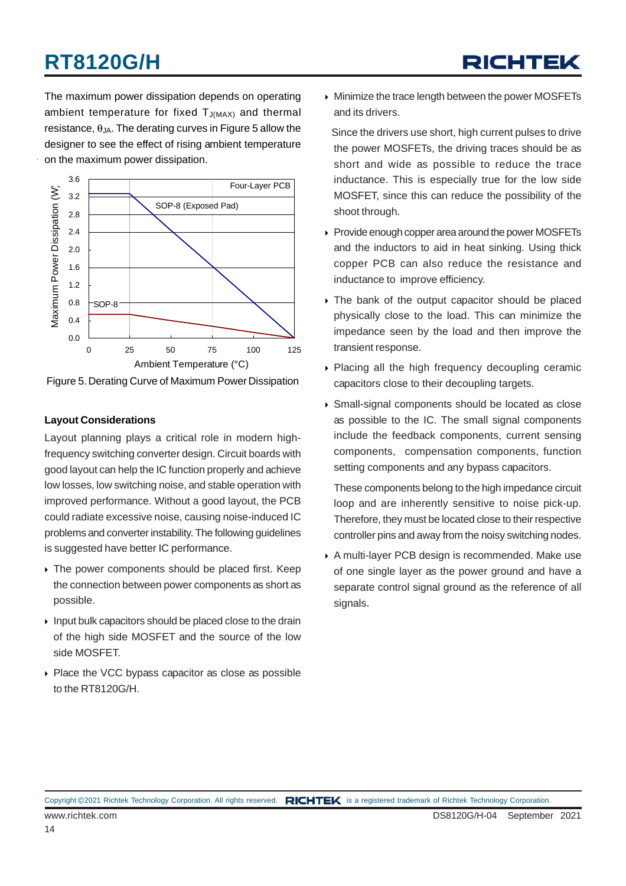The maximum power dissipation depends on operating ambient temperature for fixed  $T_{J(MAX)}$  and thermal resistance,  $\theta_{JA}$ . The derating curves in Figure 5 allow the designer to see the effect of rising ambient temperature on the maximum power dissipation.



Figure 5. Derating Curve of Maximum Power Dissipation

#### **Layout Considerations**

Layout planning plays a critical role in modern highfrequency switching converter design. Circuit boards with good layout can help the IC function properly and achieve low losses, low switching noise, and stable operation with improved performance. Without a good layout, the PCB could radiate excessive noise, causing noise-induced IC problems and converter instability. The following guidelines is suggested have better IC performance.

- $\rightarrow$  The power components should be placed first. Keep the connection between power components as short as possible.
- $\rightarrow$  Input bulk capacitors should be placed close to the drain of the high side MOSFET and the source of the low side MOSFET.
- Place the VCC bypass capacitor as close as possible to the RT8120G/H.

 Minimize the trace length between the power MOSFETs and its drivers.

 Since the drivers use short, high current pulses to drive the power MOSFETs, the driving traces should be as short and wide as possible to reduce the trace inductance. This is especially true for the low side MOSFET, since this can reduce the possibility of the shoot through.

- Provide enough copper area around the power MOSFETs and the inductors to aid in heat sinking. Using thick copper PCB can also reduce the resistance and inductance to improve efficiency.
- The bank of the output capacitor should be placed physically close to the load. This can minimize the impedance seen by the load and then improve the transient response.
- Placing all the high frequency decoupling ceramic capacitors close to their decoupling targets.
- Small-signal components should be located as close as possible to the IC. The small signal components include the feedback components, current sensing components, compensation components, function setting components and any bypass capacitors.

These components belong to the high impedance circuit loop and are inherently sensitive to noise pick-up. Therefore, they must be located close to their respective controller pins and away from the noisy switching nodes.

 A multi-layer PCB design is recommended. Make use of one single layer as the power ground and have a separate control signal ground as the reference of all signals.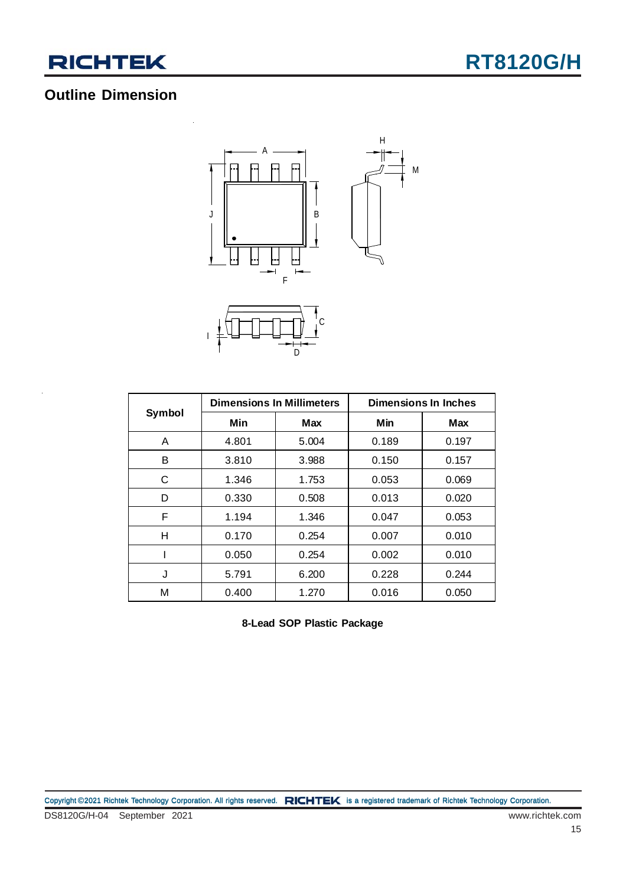

## **Outline Dimension**



|        | <b>Dimensions In Millimeters</b> |       | Dimensions In Inches |            |  |
|--------|----------------------------------|-------|----------------------|------------|--|
| Symbol | Min                              | Max   | Min                  | <b>Max</b> |  |
| A      | 4.801                            | 5.004 | 0.189                | 0.197      |  |
| В      | 3.810                            | 3.988 | 0.150                | 0.157      |  |
| C      | 1.346                            | 1.753 | 0.053                | 0.069      |  |
| D      | 0.330                            | 0.508 | 0.013                | 0.020      |  |
| F      | 1.194                            | 1.346 | 0.047                | 0.053      |  |
| н      | 0.170                            | 0.254 | 0.007                | 0.010      |  |
|        | 0.050                            | 0.254 | 0.002                | 0.010      |  |
| J      | 5.791                            | 6.200 | 0.228                | 0.244      |  |
| М      | 0.400                            | 1.270 | 0.016                | 0.050      |  |

**8-Lead SOP Plastic Package**